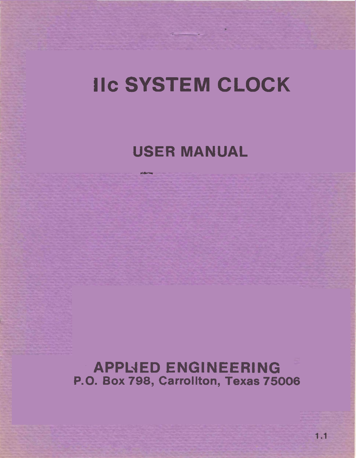## **IIc SYSTEM CLOCK**

# **USER MANUAL**  -

**APPL4ED ENGINEERING P.O. Box 798, Carrollton, Texas 75006**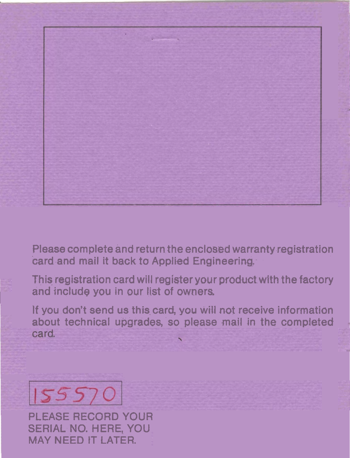

**Please complete and return the enclosed warranty registration card and mail it back to Applied Engineering.-** 

**Thiq registration card will register your product with the factory**  l **and include you in** our **list of owners,** 

If you don't send us this card, you will not receive information **about technical upgrades, so please mail in the completed**  card.



**PLEASE RECORD YOUR SERIAL NO. HERE, YOU MAY NEED IT LATER.**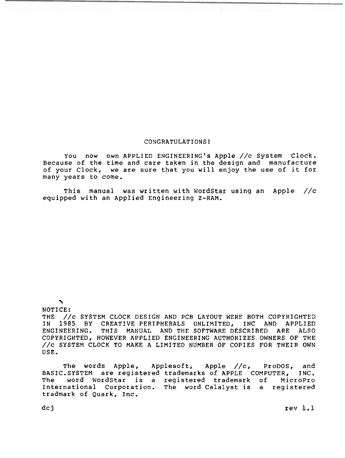#### CONGRATULATIONS!

You now own APPLIED ENGINEERING'S Apple //c System Clock. Because of the time and care taken in the design and manufacture of your Clock, we are sure that you will enjoy the use of it for many years to come.

This manual was written with WordStar using an Apple //c equipped with an Applied Engineering Z-RAM.

### $\blacktriangle$

NOTICE: THE //c SYSTEM CLOCK DESIGN AND PCB LAYOUT WERE BOTH COPYRIGHTED<br>IN 1985 BY CREATIVE PERIPHERALS UNLIMITED, INC AND APPLIED IN 1985 BY CREATIVE PERIPHERALS UNLIMITED, INC AND APPLIED<br>ENGINEERING. THIS MANUAL AND THE SOFTWARE DESCRIBED ARE ALSO THIS MANUAL AND THE SOFTWARE DESCRIBED COPYRIGHTED, HOWEVER APPLIED ENGINEERING AUTHORIZES OWNERS OF THE //c SYSTEM CLOCK TO MAKE A LIMITED NUMBER OF COPIES FOR THEIR OWN USE.

The words Apple, Applesoft, Apple //c, ProDOS, and<br>SYSTEM are registered trademarks of APPLE COMPUTER, INC. BASIC.SYSTEM are registered trademarks of APPLE COMPUTER,<br>The word WordStar is a registered trademark of Mic The word WordStar is a registered trademark of MicroPro The word Calalyst is a registered tradmark of Quark, Inc.

dcj rev 1.1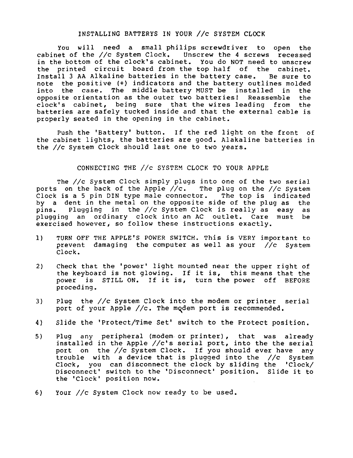#### INSTALLING BATTERYS IN YOUR //c SYSTEM CLOCK

you will need a small philips screwdriver to open the cabinet of the //c System Clock. Unscrew the 4 screws recessed<br>in the bottom of the clock's cabinet. You do NOT need to unscrew the printed circuit board from the top half of the cabinet. Install 3 AA Alkaline batteries in the battery case. Be sure to note the positive (+) indicators and the battery outlines molded<br>into the case. The middle battery MUST be installed in the into the case. The middle battery MUST be installed in the<br>opposite orientation as the outer two batteries! Reassemble the opposite orientation as the outer two batteries! Reassemble clock's cabinet, being sure that the wires leading from the batteries are safely tucked inside and that the external cable is properly seated in the opening in the cabinet.

Push the 'Battery' button. If the red light on the front of the cabinet lights, the batteries are good. Alakaline batteries in the //c System Clock should last one to two years.

#### CONNECTING THE //c SYSTEY CLOCK TO YOUR APPLE

The //c System Clock simply plugs into one of the two serial ports on the back of the Apple //c. The plug on the //c System Clock is a 5 pin DIN type male connector. The top is indicated by a dent in the metal on the opposite side of the plug as the pins. Plugging in the //c System Clock is really as easy as plugging an ordinary clock into an AC outlet. Care must be exercised however, so follow these instructions exactly.

- 1) TURN OFF THE APPLE'S POWER SWITCH. This is VERY important to prevent damaging the computer as well as your //c System Clock.
- 2) Check that the 'power' light mounted near the upper right of the keyboard is not glowing. If it is, this means that the power is STILL ON. If it is, turn the power off BEFORE proceding.
- 3) Plug the //c System Clock into the modem or printer serial port of your Apple //c. The mqdem port is recommended.
- 4) Slide the 'Protect/Time Set' switch to the Protect position.
- 5) Plug any peripheral (modem or printer), that was already installed in the Apple //c's serial port, into the the serial port on the //c System Clock. If you should ever have any trouble with a device that is plugged into the //c System Clock, you can disconnect the clock by sliding the 'Clock/ Disconnect switch to the 'Disconnect' position. Slide it to the 'Clock' position now.
- 6) Your //c System Clock now ready to be used.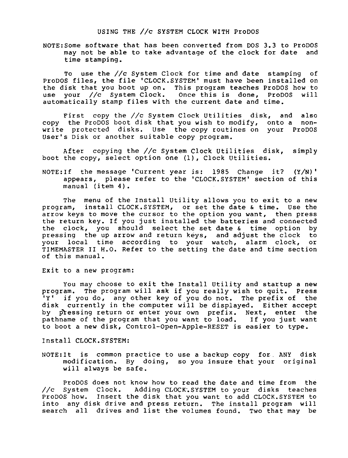N0TE:Some software that has been converted from DOS 3.3 to ProDOS may not be able to take advantage of the clock for date and time stamping.

To use the //c System Clock for time and date stamping of<br>ProDOS files, the file 'CLOCK, SYSTEM' must have been installed on the disk that you boot up on. This program teaches ProDOS how to use your //c System Clock. Once this is done, ProDOS will automatically stamp files with the current date and time.

First copy the //c System Clock Utilities disk, and also<br>copy the ProDOS boot disk that you wish to modify, onto a nonwrite protected disks. Use the copy routines on your ProDOS User's Disk or another suitable copy program.

After copying the //c System Clock Utilities disk, simply boot the copy, select option one (I), Clock Utilities.

N0TE:If the message 'Current year is: 1985 Change it? (Y/N)' appears, please refer to the 'CLOCK.SYSTEM' section of this manual (item 4).

The menu of the Install Utility allows you to exit to a new program, install CLOCK.SYSTEM, or set the date & time. Use the arrow keys to move the cursor to the option you want, then press the return key. If you just installed the batteries and connected<br>the clock, you should select the set date  $\&$  time option by the clock, you should select the set date & time option by<br>pressing the up arrow and return keys, and adjust the clock to pressing the up arrow and return keys, and adjust the clock to<br>your local time according to your watch, alarm clock, or TIMEMASTER II H.O. Refer to the setting the date and time section of this manual.

#### Exit to a new program:

You may choose to exit the Install Utility and startup a new<br>program. The program will ask if you really wish to quit. Press<br>'Y' if you do, any other key of you do not. The prefix of the if you do, any other key of you do not. The prefix of disk currently in the computer will be displayed. Either accept by pkessing return or enter your own prefix. Next, enter the pathname of the program that you want to load. If you just want to boot a new disk, Control-Open-Apple-RESET is easier to type.

Install CLOCK.SYSTEM:

N0TE:It is common practice to use a backup copy for. ANY disk modification. By doing, so you insure that your original will always be safe.

ProDOS does not know how to read the date and time from the //c System Clock. Adding CLOCK.SYSTEM to your disks teaches ProDOS how. Insert the disk that you want to add CLOCK.SYSTEM to into any disk drive and press return. The install program will search all drives and list the volumes found. TWO that may be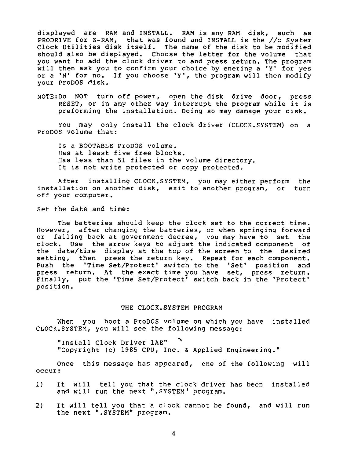displayed are RAM and INSTALL. RAM is any RAM disk, such as PRODRIVE for Z-RAM, that was found and INSTALL is the //c System Clock Utilities disk itself. The name of the disk to be modified should also be displayed. Choose the letter for the volume that you want to add the clock driver to and press return. The program<br>will then ask you to confirm your choice by enering a 'Y' for yes or a 'N' for no. If you choose 'Y', the program will then modify your ProDOS disk.

N0TE:Do NOT turn off power, open the disk drive door, press RESET, or in any other way interrupt the program while it is preforming the installation. Doing so may damage your disk.

You may only install the clock driver (CLOCK.SYSTEM) on a ProDOS volume that:

Is a BOOTABLE ProDOS volume. Has at least five free blocks. Has less than 51 files in the volume directory. It is not write protected or copy protected.

After installing CLOCK.SYSTEM, you may either perform the<br>llation on another disk, exit to another program, or turn installation on another disk, exit to another program, or off your computer.

Set the date and time:

The batteries should keep the clock set to the correct time.<br>However, after changing the batteries, or when springing forward or falling back at government decree, you may have to set the clock. Use the arrow keys to adjust the indicated component of the date/time display at the top of the screen to the desired setting, then press the return key. Repeat for each component. Push the 'Time Set/Protect' switch to the 'Set' position and press return. At the exact time you have set, press return. Finally, put the 'Time Set/Protect' switch back in the 'Protect' position.

#### THE CLOCK.SYSTEM PROGRAM

When you boot a ProDOS volume on which you have installed CLOCK.SYSTEM, you will see the following message:

"Install Clock Driver 1AE" ' "Copyright (c) 1985 CPU, Inc. & Applied Engineering."

Once this message has appeared, one of the following will occur:

- 1) It will tell you that the clock driver has been installed and will run the next ".SYSTEM" program.
- 2) It will tell you that a clock cannot be found, and will run the next ".SYSTEM" program.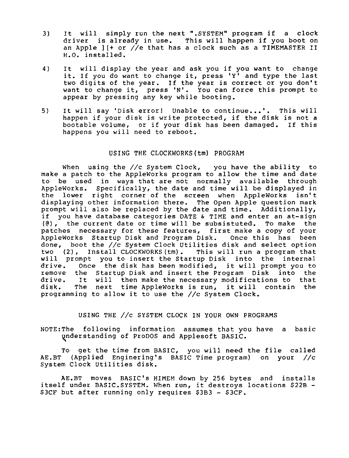- 3) It will simply run the next ".SYSTEM" program if a clock<br>driver is already in use. This will happen if you boot on an Apple  $j$  [+ or //e that has a clock such as a TIMEMASTER II H.O. installed.
- 4) It will display the year and ask you if you want to change it. If you do want to change it, press 'Y' and type the last two digits of the year. If the year is correct or you don't want to change it, press 'N'. You can force this prompt to appear by pressing any key while booting.
- 5) It will say 'Disk error! Unable to continue...'. This will<br>happen if your disk is write protected, if the disk is not a hootable volume, or if your disk has been damaged. If this happens you will need to reboot.

#### USING THE CLOCKWORKS (tm) PROGRAM

When using the //c System Clock, you have the ability to make a patch to the AppleWorks program to allow the time and date to be used in ways that are not normally available through Appleworks. Specifically, the date and time will be displayed in the lower right corner of the screen when AppleWorks isn't displaying other information there. The Open Apple question mark prompt will also be replaced by the date and time. Additionally, if you have database categories DATE & TIME and enter an at-sign , the current date or time will be subsistuted. To make the patches necessary for these features, first make a copy of your AppleWorks Startup Disk and Program Disk. Once this has been done, boot the //c System Clock Utilities disk and select option two (2), Install CLOCKWORKS (tm) . This will run a program that will prompt you to insert the Startup Disk into the internal drive. Once the disk has been modified, it will prompt you to remove the Startup Disk and insert the Program Disk into the drive. It will then make the necessary modifications to that It will then make the necessary modifications to that disk. The next time AppleWorks is run, it will contain the programming to allow it to use the //c System Clock.

#### USING THE //c SYSTEM CLOCK IN YOUR OWN PROGRAMS

N0TE:The following information assumes that you have a basic vderstanding of ProDOS and Applesoft BASIC.

To get the time from BASIC, you will need the file called AE.BT (Applied Enginering's BASIC Time program) on your //c System Clock Utilities disk.

AE.BT moves BASIC's HIMEM down by 256 bytes and installs itself under BASIC.SYSTEM. When run, it destroys locations \$22B - \$3CF but after running only requires \$3B3 - \$3CF.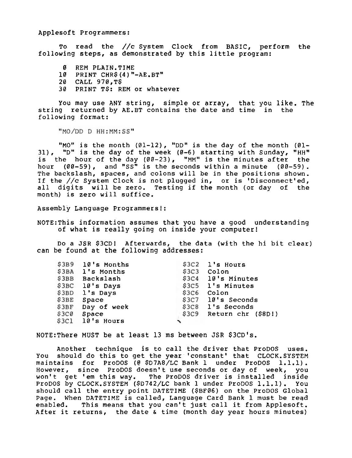Applesoft Programmers:

To. read the **//c** System Clock from BASIC, perform the following steps, as demonstrated by this little program:

- 0 REM PLAIN.TIME
- 10 PRINT CHR\$ (4) "-AE.BT1'
- 20 CALL 970,T\$
- 30 PRINT **T\$:** REM Or whatever

You may use ANY string, simple or array, that you like. The string returned by AE.BT contains the date and time in the following format:

"MO/DD D HH: MM: SS"

"MO" is the month  $(01-12)$ , "DD" is the day of the month  $(01-$ 31), "D" is the day of the week  $(0-6)$  starting with Sunday, "HH" is the hour of the day (00-23), "MM" is the minutes after the hour  $(00-59)$ , and "SS" is the seconds within a minute  $(00-59)$ . The backslash, spaces, and colons will be in the positions shown. If the //c System Clock is not plugged in, or is 'Disconnect'ed, all digits will be zero. Testing if the month (or day of the month) is zero will suffice.

Assembly Language Programmers!:

N0TE:This information assumes that you have a good understanding of what is really going on inside your computer!

Do a JSR \$3CD! Afterwards, the data (with the hi bit clear) can be found at the following addresses:

|      | \$3B9 10's Months |       | \$3C2 l's Hours          |
|------|-------------------|-------|--------------------------|
|      | \$3BA l's Months  |       | \$3C3 Colon              |
|      | \$3BB Backslash   |       | \$3C4 10's Minutes       |
|      | $$3BC$ 10's Days  |       | \$3C5 l's Minutes        |
|      | \$3BD l's Days    | \$3C6 | Colon                    |
|      | \$3BE Space       |       | \$3C7 10's Seconds       |
|      | \$3BF Day of week |       | \$3C8 l's Seconds        |
| S3CØ | Space             |       | \$309 Return chr (\$8D!) |
|      | $$3C1$ 10's Hours |       |                          |

NOTE: There MUST be at least 13 ms between JSR \$3CD's.

Another technique is to call the driver that ProDOS uses. You should do this to get the year'constant' that CLOCK.SYSTEM maintains for ProDOS (@ \$D7A8/LC Bank 1 under ProDOS 1.1.1). However, since ProDOS doesn't use seconds or day of week, you won't get 'em this way. The ProDOS driver is installed inslde ProDOS by CLOCK.SYSTEM (\$D742/LC bank 1 under ProDOS 1.1.1). You should call the entry point DATETIME (\$BF06) on the ProDOS Global Page. When DATETIME is called, Language Card Bank 1 must be read enabled. This means that you can't just call it from Applesoft. After it returns, the date & time (month day year hours minutes)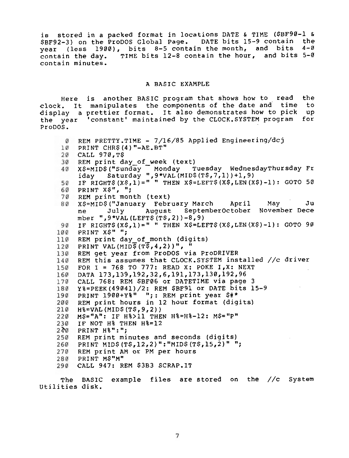is stored in a packed format in locations DATE & TIME (\$BF90-1 & \$BF92-3) on the ProDOS Global Page. DATE bits 15-9 contain the year (less 1900), bits 8-5 contain the month, and bits 4-0 contain the day. TIME bits 12-8 contain the hour, and bits 5-0 contain minutes.

#### A BASIC EXAMPLE

Here is another BASIC program that shows how to read the clock. It manipulates the components of the date and time to display a prettier format. It also demonstrates how to pick up the year 'constant' maintained by the CLOCK.SYSTEM program for<br>ProDOS.

```
\theta REM PRETTY.TIME - 7/16/85 Applied Engineering/dcj
 10 PRINT CHR$ (4) "-AE.BT"
 CALL 970,TS 
 30 REM print day of week (text)
      X$=MID$("Sunday <sup>--</sup> Monday - Tuesday WednesdayThursday Fr<br>iday - Saturday ",9*VAL(MID$(T$,7,1))+1,9)<br>IF RIGHT$(X$,1)=" " THEN X$=LEFT$(X$,LEN(X$)-1): GOTO 50
 40
 5060
    PRINT XS", ";
 70 REM print month (text)<br>80 X$=MID$("January February March
      X$=MID$("January February March April May Ju<br>ne July august SeptemberOctober November Dece
      nber ",9*VAL(LEFT$(T$,2))-8,9)<br>IF RIGHT$(X$,1)=" " THEN X$=LEFT$(X$,LEN(X$)-1): GOTO 90<br>PRINT X$" ";
      mber ", 9*VAL (LEFT$(T$, 2))-8, 9)
 90100
110 REM print day of month (digits)
120 PRINT VAL(MIDS(TS, 4, 2))",
130 REM get year from ProDOS via ProDRIVER
140 REM this assumes that CLOCK.SYSTEM installed //c driver
FOR I = 768 TO 777: READ X: POKE I,X: NEXT 
160 DATA 173,139,192,32,6,191,173,130,192,96
    CALL 768: REM $BF06 or DATETIME via page 3 
170
Y%=PEEK(49041)/2: REM $BE91 or DATE bits 15-9 
190 PRINT 1900+Y%" ";: REM print year $#*
REM print hours in 12 hour format (digits) 
210
     H%=VAL(MID$(T$,9,2)) 
M$="An: IF H%>11 THEN H%=H%-12: M$="PW 
230IF NOT H% THEN H%=12 
PRINT H%" : "; 
250 REM print minutes and seconds (digits)
260 PRINT MID$(T$,12,2)":"MID$(T$,15,2)" ";
270REM print AM Or PM per hours 
280 PRINT MS"M"
     CALL 947: REM $3B3 SCRAP.IT 
290
```
The BASIC example files are stored on the //c System Utilities disk.